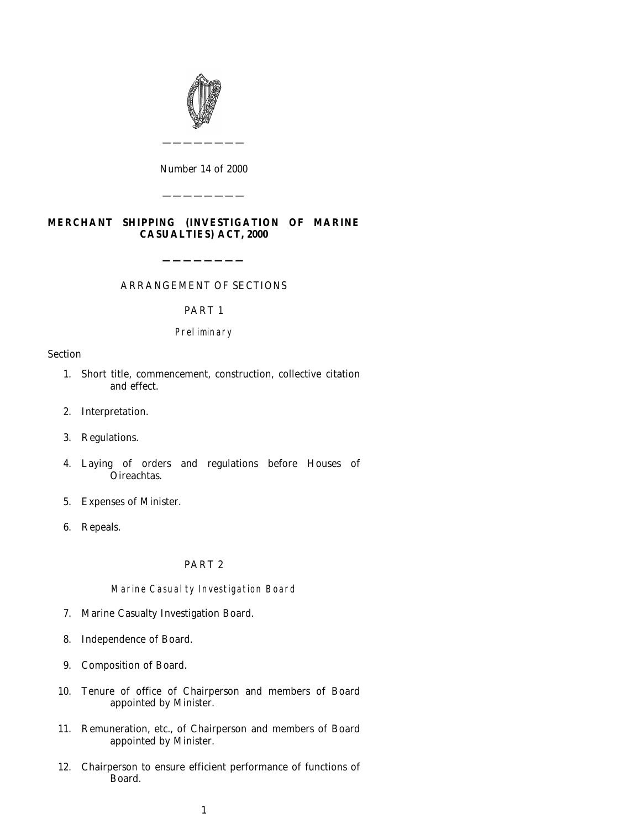

*Number* 14 *of* 2000

————————

————————

# **MERCHANT SHIPPING (INVESTIGATION OF MARINE CASUALTIES) ACT, 2000**

ARRANGEMENT OF SECTIONS

**————————**

PART 1

## Preliminary

#### Section

- 1. Short title, commencement, construction, collective citation and effect.
- [2.](#page-4-0) [Interpretation.](#page-4-0)
- [3. Regulations.](#page-4-0)
- [4.](#page-6-0) [Laying](#page-6-0) [of](#page-6-0) [or](#page-6-0)ders and regulations before Houses of Oireachtas.
- [5. Expenses of Minister.](#page-7-0)
- [6. Repeals.](#page-7-0)

## PART 2

## Marine Casualty Investigation Board

- 7. Marine Casualty Investigation Board.
- [8. Independence of Board.](#page-7-0)
- [9. Composition of Board.](#page-7-0)
- [10. Tenure of office of](#page-7-0) Chairperson and members of Board appointed by Minister.
- [11.](#page-7-0) [Remuneration,](#page-7-0) [etc.,](#page-7-0) [of](#page-7-0) [Chairperson](#page-7-0) [and](#page-7-0) [members](#page-7-0) [of](#page-7-0) [Board](#page-7-0) appointed by Minister.
- [12.](#page-9-0) [Chairperson](#page-9-0) [to](#page-9-0) [ensure](#page-9-0) [efficient](#page-9-0) [performance](#page-9-0) [of](#page-9-0) [functions](#page-9-0) [of](#page-9-0) [Board.](#page-9-0)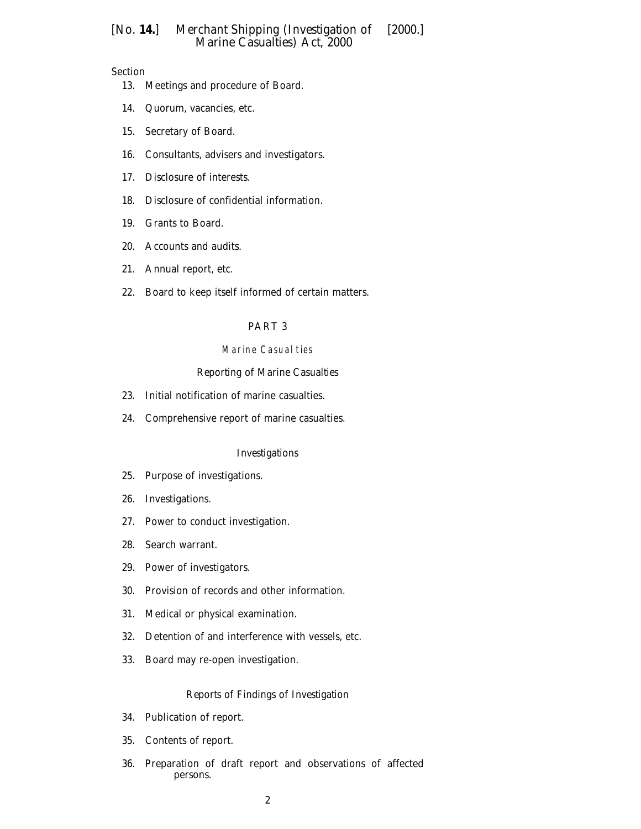## Section

- 13. Meetings and procedure of Board.
- [14. Quorum, vacancies, etc.](#page-9-0)
- [15. Secretary of Board.](#page-9-0)
- [16. Consultants, advise](#page-9-0)rs and investigators.
- [17. Disclosure of interests.](#page-10-0)
- [18. Disclosure of confiden](#page-10-0)tial information.
- [19. Grants to Board.](#page-11-0)
- [20. Accounts and au](#page-11-0)dits.
- [21. Annual report, etc.](#page-11-0)
- [22. Board to keep itse](#page-12-0)lf informed of certain matters.

#### [PART 3](#page-12-0)

#### Marine Casual ties

#### *Reporting of Marine Casualties*

- 23. Initial notification of marine casualties.
- [24. Comprehensive report of marine casu](#page-12-0)alties.

#### *[Investigations](#page-12-0)*

- 25. Purpose of investigations.
- [26. Investigations.](#page-13-0)
- [27. Power to condu](#page-13-0)ct investigation.
- [28. Search warrant.](#page-14-0)
- [29. Power of inves](#page-14-0)tigators.
- [30. Provision of records an](#page-15-0)d other information.
- [31. Medical or physical examination.](#page-15-0)
- [32. Detention of and interference w](#page-16-0)ith vessels, etc.
- [33. Board may re-open investigation.](#page-17-0)

#### *[Reports of Findings of I](#page-17-0)nvestigation*

- 34. Publication of report.
- [35. Contents of report.](#page-18-0)
- [36. Preparation of dr](#page-18-0)aft report and observations of affected persons.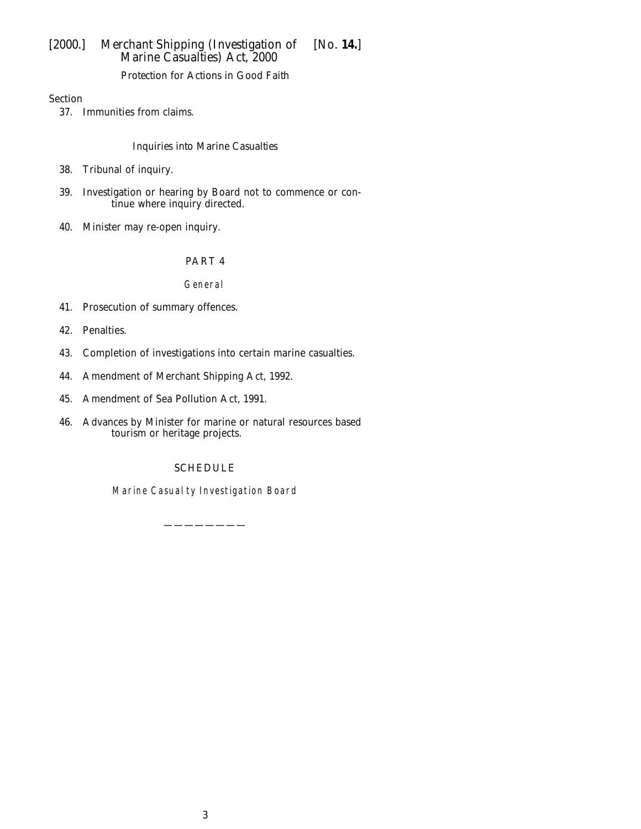*Protection for Actions in Good Faith*

Section

37. Immunities from claims.

# *Inquiries into Marine Casualties*

- 38. Tribunal of inquiry.
- [39. Investigation or hea](#page-19-0)ring by Board not to commence or con[tinue where inquiry directed.](#page-20-0)
- [40.](#page-21-0) [Minister](#page-21-0) [may](#page-21-0) [re-open](#page-21-0) [inquiry](#page-21-0).

# PART 4

## General

- 41. Prosecution of summary offences.
- [42.](#page-21-0) [Penalties.](#page-21-0)
- [43.](#page-21-0) [Completi](#page-21-0)on of investigations into certain marine casualties.
- [44.](#page-21-0) [Amendment](#page-21-0) [of](#page-21-0) [Merchant](#page-21-0) [Shipping](#page-21-0) [Act,](#page-21-0) [1992.](#page-21-0)
- [45.](#page-21-0) [Amendment](#page-21-0) [of](#page-21-0) [Sea](#page-21-0) [Pollution](#page-21-0) [Act,](#page-21-0) [1991.](#page-21-0)
- [46.](#page-27-0) [Advances](#page-27-0) [by](#page-27-0) [Minister](#page-27-0) [for](#page-27-0) [marine](#page-27-0) [or](#page-27-0) [na](#page-27-0)tural resources based [tourism or heritage projects.](#page-27-0)

# SCHEDULE

Marine C[asualty Investig](#page-28-0)ation Board

————————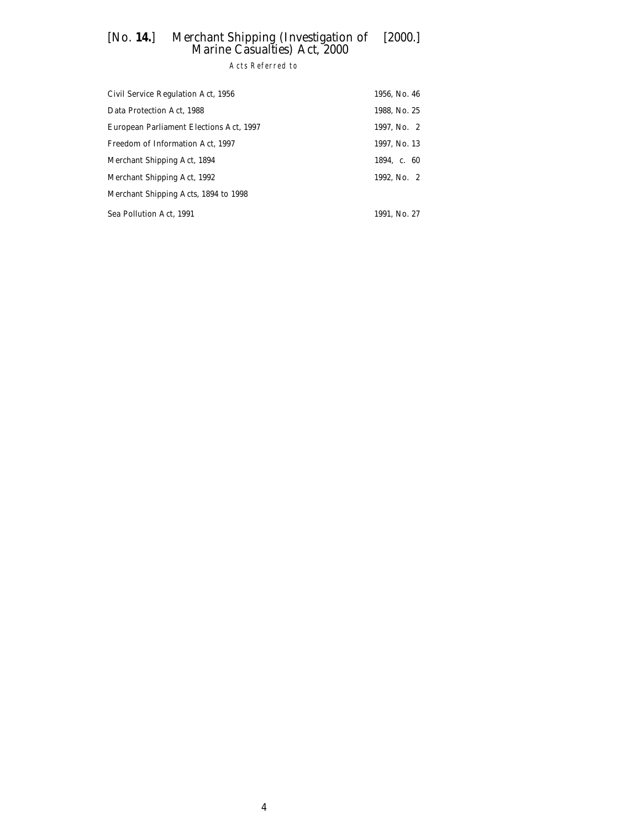Acts Referred to

| Civil Service Regulation Act, 1956      | 1956, No. 46 |
|-----------------------------------------|--------------|
| Data Protection Act, 1988               | 1988, No. 25 |
| European Parliament Elections Act, 1997 | 1997, No. 2  |
| Freedom of Information Act, 1997        | 1997, No. 13 |
| Merchant Shipping Act, 1894             | 1894. c. 60  |
| Merchant Shipping Act, 1992             | 1992, No. 2  |
| Merchant Shipping Acts, 1894 to 1998    |              |
| Sea Pollution Act, 1991                 | 1991, No. 27 |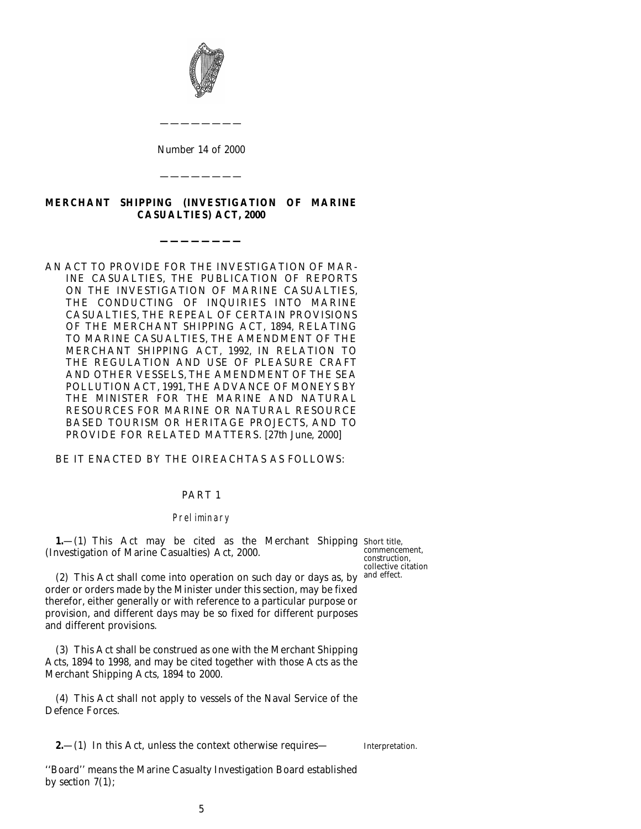<span id="page-4-0"></span>

*Number* 14 *of* 2000

————————

————————

# **MERCHANT SHIPPING (INVESTIGATION OF MARINE CASUALTIES) ACT, 2000**

**————————**

### AN ACT TO PROVIDE FOR THE INVESTIGATION OF MAR-INE CASUALTIES, THE PUBLICATION OF REPORTS ON THE INVESTIGATION OF MARINE CASUALTIES, THE CONDUCTING OF INQUIRIES INTO MARINE CASUALTIES, THE REPEAL OF CERTAIN PROVISIONS OF THE MERCHANT SHIPPING ACT, 1894, RELATING TO MARINE CASUALTIES, THE AMENDMENT OF THE MERCHANT SHIPPING ACT, 1992, IN RELATION TO THE REGULATION AND USE OF PLEASURE CRAFT AND OTHER VESSELS, THE AMENDMENT OF THE SEA POLLUTION ACT, 1991, THE ADVANCE OF MONEYS BY THE MINISTER FOR THE MARINE AND NATURAL RESOURCES FOR MARINE OR NATURAL RESOURCE BASED TOURISM OR HERITAGE PROJECTS, AND TO PROVIDE FOR RELATED MATTERS. [27*th June*, 2000]

## BE IT ENACTED BY THE OIREACHTAS AS FOLLOWS:

#### PART 1

#### Preliminary

**1.**—(1) This Act may be cited as the Merchant Shipping Short title, (Investigation of Marine Casualties) Act, 2000.

(2) This Act shall come into operation on such day or days as, by and effect. order or orders made by the Minister under this section, may be fixed therefor, either generally or with reference to a particular purpose or provision, and different days may be so fixed for different purposes and different provisions.

(3) This Act shall be construed as one with the Merchant Shipping Acts, 1894 to 1998, and may be cited together with those Acts as the Merchant Shipping Acts, 1894 to 2000.

(4) This Act shall not apply to vessels of the Naval Service of the Defence Forces.

**2.**—(1) In this Act, unless the context otherwise requires—

Interpretation.

''Board'' means the Marine Casualty Investigation Board established by *section 7(1)*;

commencement, construction, collective citation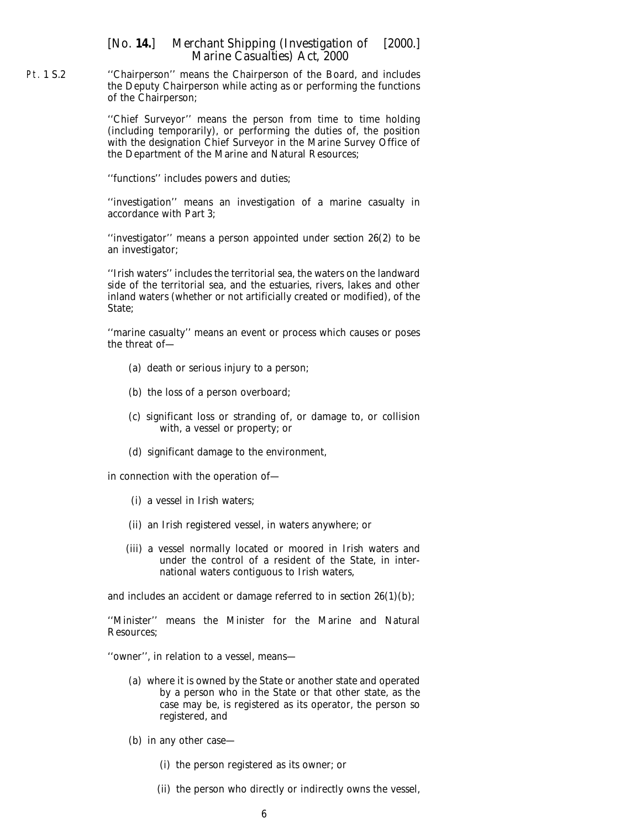Pt. 1 S.2 ''Chairperson'' means the Chairperson of the Board, and includes the Deputy Chairperson while acting as or performing the functions of the Chairperson;

> ''Chief Surveyor'' means the person from time to time holding (including temporarily), or performing the duties of, the position with the designation Chief Surveyor in the Marine Survey Office of the Department of the Marine and Natural Resources;

''functions'' includes powers and duties;

''investigation'' means an investigation of a marine casualty in accordance with *Part 3*;

''investigator'' means a person appointed under *section 26(2)* to be an investigator;

''Irish waters'' includes the territorial sea, the waters on the landward side of the territorial sea, and the estuaries, rivers, lakes and other inland waters (whether or not artificially created or modified), of the State;

''marine casualty'' means an event or process which causes or poses the threat of—

- (*a*) death or serious injury to a person;
- (*b*) the loss of a person overboard;
- (*c*) significant loss or stranding of, or damage to, or collision with, a vessel or property; or
- (*d*) significant damage to the environment,

in connection with the operation of—

- (i) a vessel in Irish waters;
- (ii) an Irish registered vessel, in waters anywhere; or
- (iii) a vessel normally located or moored in Irish waters and under the control of a resident of the State, in international waters contiguous to Irish waters,

and includes an accident or damage referred to in *section 26(1)(b)*;

''Minister'' means the Minister for the Marine and Natural Resources;

''owner'', in relation to a vessel, means—

- (*a*) where it is owned by the State or another state and operated by a person who in the State or that other state, as the case may be, is registered as its operator, the person so registered, and
- (*b*) in any other case—
	- (i) the person registered as its owner; or
	- (ii) the person who directly or indirectly owns the vessel,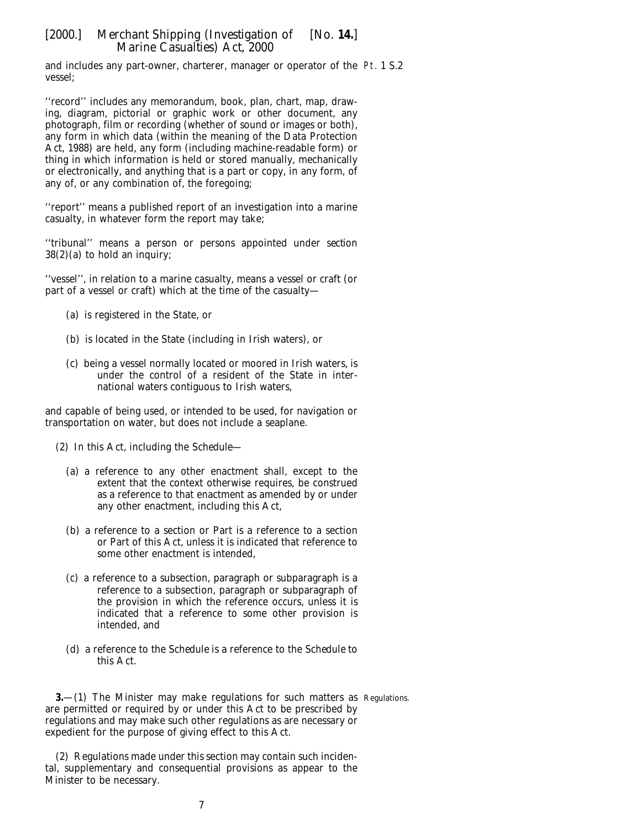<span id="page-6-0"></span>and includes any part-owner, charterer, manager or operator of the Pt. 1 S.2 vessel;

''record'' includes any memorandum, book, plan, chart, map, drawing, diagram, pictorial or graphic work or other document, any photograph, film or recording (whether of sound or images or both), any form in which data (within the meaning of the Data Protection Act, 1988) are held, any form (including machine-readable form) or thing in which information is held or stored manually, mechanically or electronically, and anything that is a part or copy, in any form, of any of, or any combination of, the foregoing;

''report'' means a published report of an investigation into a marine casualty, in whatever form the report may take;

''tribunal'' means a person or persons appointed under *section 38(2)(a)* to hold an inquiry;

''vessel'', in relation to a marine casualty, means a vessel or craft (or part of a vessel or craft) which at the time of the casualty—

- (*a*) is registered in the State, or
- (*b*) is located in the State (including in Irish waters), or
- (*c*) being a vessel normally located or moored in Irish waters, is under the control of a resident of the State in international waters contiguous to Irish waters,

and capable of being used, or intended to be used, for navigation or transportation on water, but does not include a seaplane.

- (2) In this Act, including the *Schedule*
	- (*a*) a reference to any other enactment shall, except to the extent that the context otherwise requires, be construed as a reference to that enactment as amended by or under any other enactment, including this Act,
	- (*b*) a reference to a section or Part is a reference to a section or Part of this Act, unless it is indicated that reference to some other enactment is intended,
	- (*c*) a reference to a subsection, paragraph or subparagraph is a reference to a subsection, paragraph or subparagraph of the provision in which the reference occurs, unless it is indicated that a reference to some other provision is intended, and
	- (*d*) a reference to the *Schedule* is a reference to the *Schedule* to this Act.

**3.** (1) The Minister may make regulations for such matters as Regulations. are permitted or required by or under this Act to be prescribed by regulations and may make such other regulations as are necessary or expedient for the purpose of giving effect to this Act.

(2) Regulations made under this section may contain such incidental, supplementary and consequential provisions as appear to the Minister to be necessary.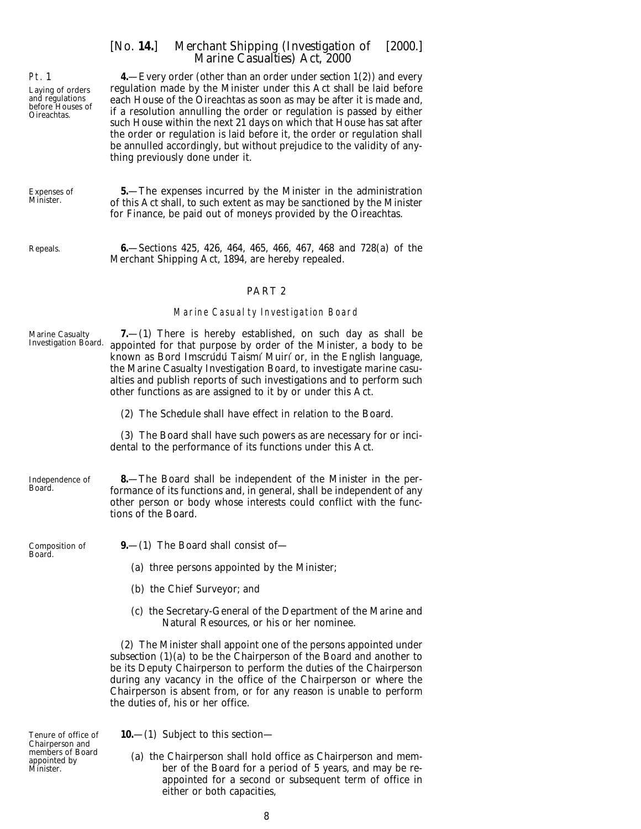**4.**—Every order (other than an order under *section 1(2)*) and every regulation made by the Minister under this Act shall be laid before each House of the Oireachtas as soon as may be after it is made and, if a resolution annulling the order or regulation is passed by either such House within the next 21 days on which that House has sat after the order or regulation is laid before it, the order or regulation shall be annulled accordingly, but without prejudice to the validity of anything previously done under it.

Expenses of Minister.

<span id="page-7-0"></span>Pt. 1

Laying of orders and regulations before Houses of Oireachtas.

Repeals.

**6.**—Sections 425, 426, 464, 465, 466, 467, 468 and 728(*a*) of the Merchant Shipping Act, 1894, are hereby repealed.

**5.**—The expenses incurred by the Minister in the administration of this Act shall, to such extent as may be sanctioned by the Minister for Finance, be paid out of moneys provided by the Oireachtas.

#### PART 2

#### Marine Casualty Investigation Board

| <b>Marine Casualty</b><br><b>Investigation Board.</b> | $7.-(1)$ There is hereby established, on such day as shall be<br>appointed for that purpose by order of the Minister, a body to be<br>known as Bord Imscrúdú Taismí Muirí or, in the English language,<br>the Marine Casualty Investigation Board, to investigate marine casu-<br>alties and publish reports of such investigations and to perform such<br>other functions as are assigned to it by or under this Act. |
|-------------------------------------------------------|------------------------------------------------------------------------------------------------------------------------------------------------------------------------------------------------------------------------------------------------------------------------------------------------------------------------------------------------------------------------------------------------------------------------|
|                                                       | (2) The <i>Schedule</i> shall have effect in relation to the Board.                                                                                                                                                                                                                                                                                                                                                    |
|                                                       | (3) The Board shall have such powers as are necessary for or inci-<br>dental to the performance of its functions under this Act.                                                                                                                                                                                                                                                                                       |
| Independence of<br>Board.                             | <b>8</b> —The Board shall be independent of the Minister in the per-<br>formance of its functions and, in general, shall be independent of any<br>other person or body whose interests could conflict with the func-<br>tions of the Board.                                                                                                                                                                            |
| Composition of<br>Board.                              | $9 - (1)$ The Board shall consist of                                                                                                                                                                                                                                                                                                                                                                                   |
|                                                       | (a) three persons appointed by the Minister;                                                                                                                                                                                                                                                                                                                                                                           |
|                                                       | (b) the Chief Surveyor; and                                                                                                                                                                                                                                                                                                                                                                                            |
|                                                       | (c) the Secretary-General of the Department of the Marine and<br>Natural Resources, or his or her nominee.                                                                                                                                                                                                                                                                                                             |
|                                                       | (2) The Minister shall appoint one of the persons appointed under<br>subsection $(1)(a)$ to be the Chairperson of the Board and another to<br>be its Deputy Chairperson to perform the duties of the Chairperson<br>during any vacancy in the office of the Chairperson or where the<br>Chairperson is absent from, or for any reason is unable to perform<br>the duties of, his or her office.                        |

Tenure of office of Chairperson and members of Board appointed by Minister.

**10.**—(1) Subject to this section—

(*a*) the Chairperson shall hold office as Chairperson and member of the Board for a period of 5 years, and may be reappointed for a second or subsequent term of office in either or both capacities,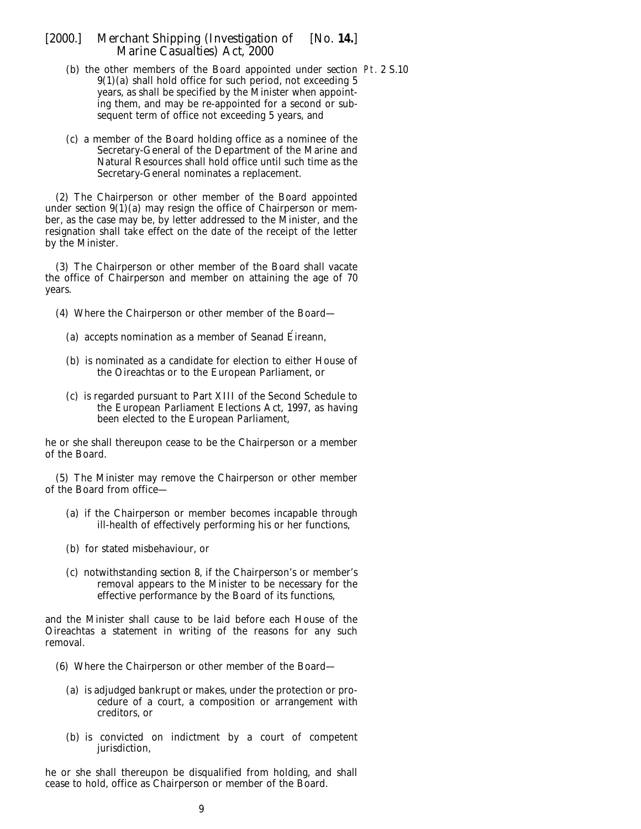- (*b*) the other members of the Board appointed under *section* Pt. 2 S.10*9(1)(a)* shall hold office for such period, not exceeding 5 years, as shall be specified by the Minister when appointing them, and may be re-appointed for a second or subsequent term of office not exceeding 5 years, and
- (*c*) a member of the Board holding office as a nominee of the Secretary-General of the Department of the Marine and Natural Resources shall hold office until such time as the Secretary-General nominates a replacement.

(2) The Chairperson or other member of the Board appointed under *section*  $9(1)(a)$  may resign the office of Chairperson or member, as the case may be, by letter addressed to the Minister, and the resignation shall take effect on the date of the receipt of the letter by the Minister.

(3) The Chairperson or other member of the Board shall vacate the office of Chairperson and member on attaining the age of 70 years.

- (4) Where the Chairperson or other member of the Board—
	- (*a*) accepts nomination as a member of Seanad Éireann,
	- (*b*) is nominated as a candidate for election to either House of the Oireachtas or to the European Parliament, or
	- (*c*) is regarded pursuant to Part XIII of the Second Schedule to the European Parliament Elections Act, 1997, as having been elected to the European Parliament,

he or she shall thereupon cease to be the Chairperson or a member of the Board.

(5) The Minister may remove the Chairperson or other member of the Board from office—

- (*a*) if the Chairperson or member becomes incapable through ill-health of effectively performing his or her functions,
- (*b*) for stated misbehaviour, or
- (*c*) notwithstanding *section 8*, if the Chairperson's or member's removal appears to the Minister to be necessary for the effective performance by the Board of its functions,

and the Minister shall cause to be laid before each House of the Oireachtas a statement in writing of the reasons for any such removal.

- (6) Where the Chairperson or other member of the Board—
	- (*a*) is adjudged bankrupt or makes, under the protection or procedure of a court, a composition or arrangement with creditors, or
	- (*b*) is convicted on indictment by a court of competent jurisdiction,

he or she shall thereupon be disqualified from holding, and shall cease to hold, office as Chairperson or member of the Board.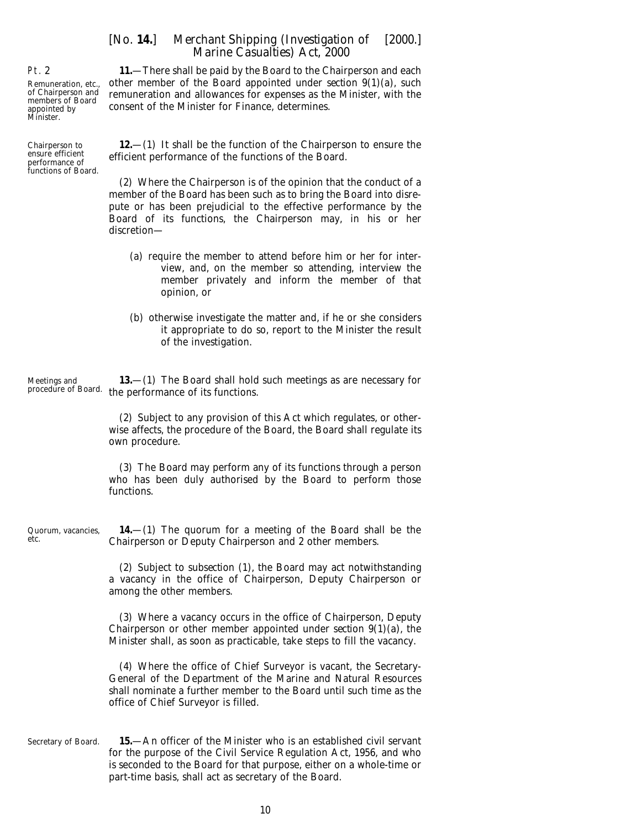**11.**—There shall be paid by the Board to the Chairperson and each other member of the Board appointed under *section 9(1)(a)*, such remuneration and allowances for expenses as the Minister, with the consent of the Minister for Finance, determines.

**12.**—(1) It shall be the function of the Chairperson to ensure the efficient performance of the functions of the Board.

(2) Where the Chairperson is of the opinion that the conduct of a member of the Board has been such as to bring the Board into disrepute or has been prejudicial to the effective performance by the Board of its functions, the Chairperson may, in his or her discretion—

- (*a*) require the member to attend before him or her for interview, and, on the member so attending, interview the member privately and inform the member of that opinion, or
- (*b*) otherwise investigate the matter and, if he or she considers it appropriate to do so, report to the Minister the result of the investigation.

Meetings and procedure of Board. the performance of its functions. **13.**—(1) The Board shall hold such meetings as are necessary for

> (2) Subject to any provision of this Act which regulates, or otherwise affects, the procedure of the Board, the Board shall regulate its own procedure.

> (3) The Board may perform any of its functions through a person who has been duly authorised by the Board to perform those functions.

Quorum, vacancies, **14.**—(1) The quorum for a meeting of the Board shall be the Chairperson or Deputy Chairperson and 2 other members.

> (2) Subject to *subsection (1)*, the Board may act notwithstanding a vacancy in the office of Chairperson, Deputy Chairperson or among the other members.

> (3) Where a vacancy occurs in the office of Chairperson, Deputy Chairperson or other member appointed under *section 9(1)(a)*, the Minister shall, as soon as practicable, take steps to fill the vacancy.

> (4) Where the office of Chief Surveyor is vacant, the Secretary-General of the Department of the Marine and Natural Resources shall nominate a further member to the Board until such time as the office of Chief Surveyor is filled.

> > 10

Secretary of Board. **15.**—An officer of the Minister who is an established civil servant for the purpose of the Civil Service Regulation Act, 1956, and who is seconded to the Board for that purpose, either on a whole-time or part-time basis, shall act as secretary of the Board.

<span id="page-9-0"></span>Pt. 2

etc.

Remuneration, etc., of Chairperson and members of Board appointed by Minister.

Chairperson to ensure efficient performance of functions of Board.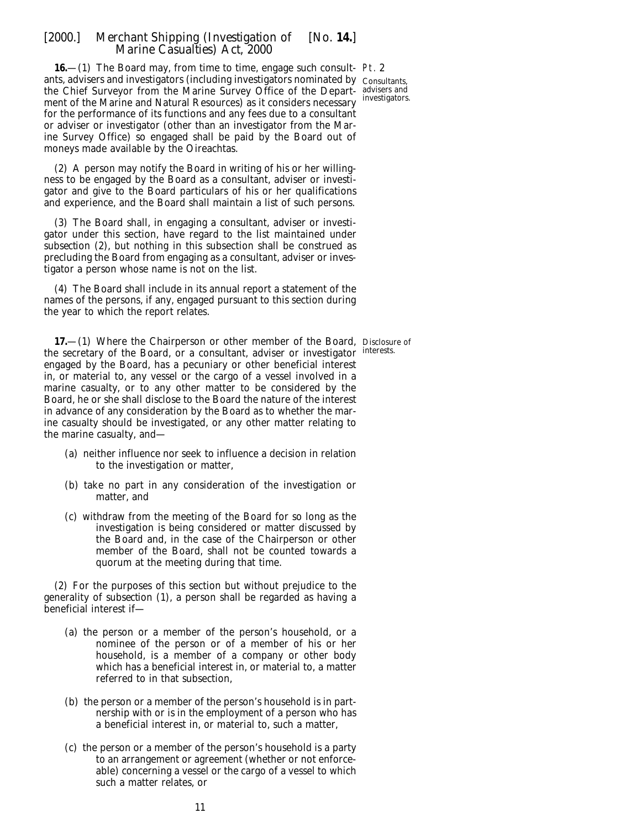<span id="page-10-0"></span>16 - (1) The Board may, from time to time, engage such consult- Pt. 2 ants, advisers and investigators (including investigators nominated by  $\,$   $_{\rm Consultants,}$ the Chief Surveyor from the Marine Survey Office of the Depart-advisers and ment of the Marine and Natural Resources) as it considers necessary investigators. for the performance of its functions and any fees due to a consultant or adviser or investigator (other than an investigator from the Marine Survey Office) so engaged shall be paid by the Board out of moneys made available by the Oireachtas.

(2) A person may notify the Board in writing of his or her willingness to be engaged by the Board as a consultant, adviser or investigator and give to the Board particulars of his or her qualifications and experience, and the Board shall maintain a list of such persons.

(3) The Board shall, in engaging a consultant, adviser or investigator under this section, have regard to the list maintained under *subsection (2)*, but nothing in this subsection shall be construed as precluding the Board from engaging as a consultant, adviser or investigator a person whose name is not on the list.

(4) The Board shall include in its annual report a statement of the names of the persons, if any, engaged pursuant to this section during the year to which the report relates.

**17.**—(1) Where the Chairperson or other member of the Board, Disclosure of the secretary of the Board, or a consultant, adviser or investigator interests. engaged by the Board, has a pecuniary or other beneficial interest in, or material to, any vessel or the cargo of a vessel involved in a marine casualty, or to any other matter to be considered by the Board, he or she shall disclose to the Board the nature of the interest in advance of any consideration by the Board as to whether the marine casualty should be investigated, or any other matter relating to the marine casualty, and—

- (*a*) neither influence nor seek to influence a decision in relation to the investigation or matter,
- (*b*) take no part in any consideration of the investigation or matter, and
- (*c*) withdraw from the meeting of the Board for so long as the investigation is being considered or matter discussed by the Board and, in the case of the Chairperson or other member of the Board, shall not be counted towards a quorum at the meeting during that time.

(2) For the purposes of this section but without prejudice to the generality of *subsection (1)*, a person shall be regarded as having a beneficial interest if—

- (*a*) the person or a member of the person's household, or a nominee of the person or of a member of his or her household, is a member of a company or other body which has a beneficial interest in, or material to, a matter referred to in that subsection,
- (*b*) the person or a member of the person's household is in partnership with or is in the employment of a person who has a beneficial interest in, or material to, such a matter,
- (*c*) the person or a member of the person's household is a party to an arrangement or agreement (whether or not enforceable) concerning a vessel or the cargo of a vessel to which such a matter relates, or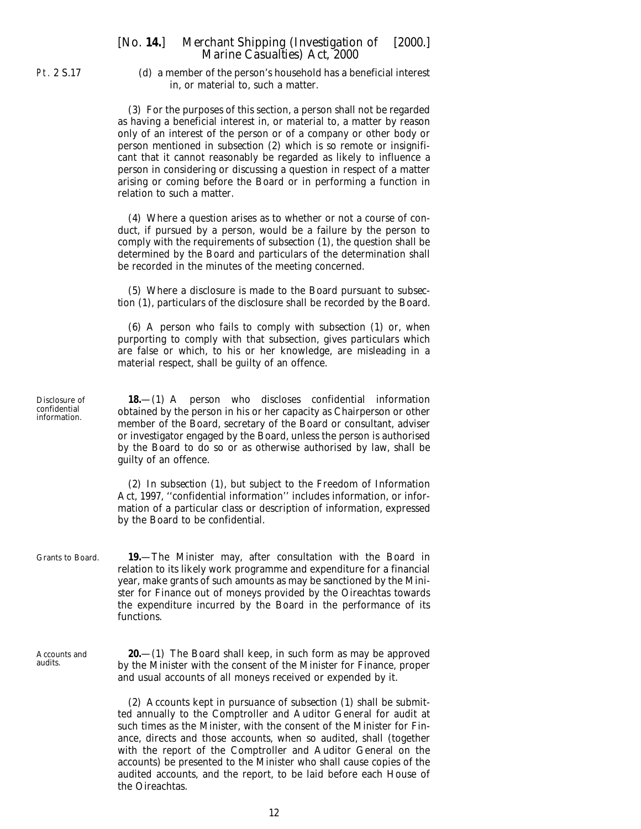<span id="page-11-0"></span>Pt. 2 S.17

(*d*) a member of the person's household has a beneficial interest in, or material to, such a matter.

(3) For the purposes of this section, a person shall not be regarded as having a beneficial interest in, or material to, a matter by reason only of an interest of the person or of a company or other body or person mentioned in *subsection (2)* which is so remote or insignificant that it cannot reasonably be regarded as likely to influence a person in considering or discussing a question in respect of a matter arising or coming before the Board or in performing a function in relation to such a matter.

(4) Where a question arises as to whether or not a course of conduct, if pursued by a person, would be a failure by the person to comply with the requirements of *subsection (1)*, the question shall be determined by the Board and particulars of the determination shall be recorded in the minutes of the meeting concerned.

(5) Where a disclosure is made to the Board pursuant to *subsection (1),* particulars of the disclosure shall be recorded by the Board.

(6) A person who fails to comply with *subsection (1)* or, when purporting to comply with that subsection, gives particulars which are false or which, to his or her knowledge, are misleading in a material respect, shall be guilty of an offence.

**18.**—(1) A person who discloses confidential information obtained by the person in his or her capacity as Chairperson or other member of the Board, secretary of the Board or consultant, adviser or investigator engaged by the Board, unless the person is authorised by the Board to do so or as otherwise authorised by law, shall be guilty of an offence.

(2) In *subsection (1)*, but subject to the Freedom of Information Act, 1997, ''confidential information'' includes information, or information of a particular class or description of information, expressed by the Board to be confidential.

Grants to Board. **19.**—The Minister may, after consultation with the Board in relation to its likely work programme and expenditure for a financial year, make grants of such amounts as may be sanctioned by the Minister for Finance out of moneys provided by the Oireachtas towards the expenditure incurred by the Board in the performance of its functions.

Accounts and audits.

**20.**—(1) The Board shall keep, in such form as may be approved by the Minister with the consent of the Minister for Finance, proper and usual accounts of all moneys received or expended by it.

(2) Accounts kept in pursuance of *subsection (1)* shall be submitted annually to the Comptroller and Auditor General for audit at such times as the Minister, with the consent of the Minister for Finance, directs and those accounts, when so audited, shall (together with the report of the Comptroller and Auditor General on the accounts) be presented to the Minister who shall cause copies of the audited accounts, and the report, to be laid before each House of the Oireachtas.

Disclosure of confidential information.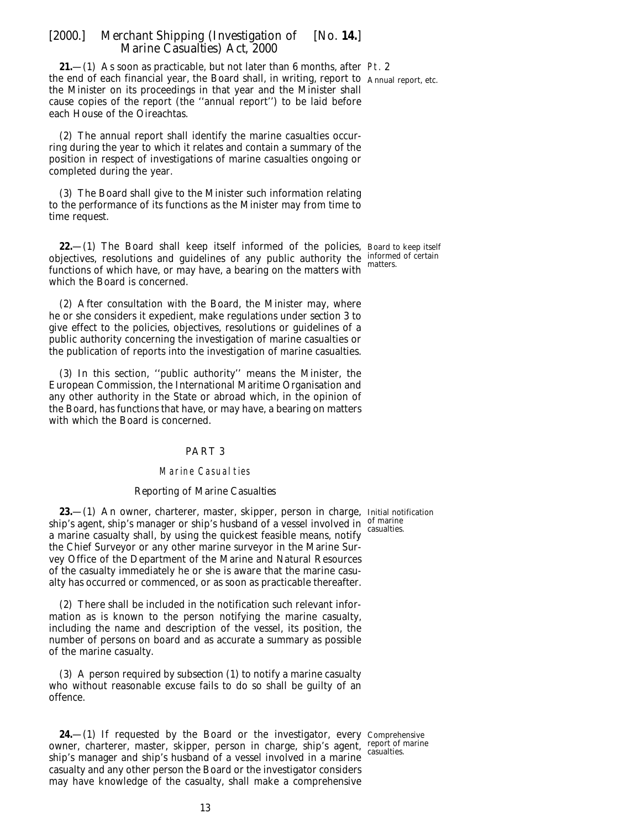<span id="page-12-0"></span>**21.**—(1) As soon as practicable, but not later than 6 months, after Pt. 2 the end of each financial year, the Board shall, in writing, report to Annual report, etc. the Minister on its proceedings in that year and the Minister shall cause copies of the report (the ''annual report'') to be laid before each House of the Oireachtas.

(2) The annual report shall identify the marine casualties occurring during the year to which it relates and contain a summary of the position in respect of investigations of marine casualties ongoing or completed during the year.

(3) The Board shall give to the Minister such information relating to the performance of its functions as the Minister may from time to time request.

**22.** (1) The Board shall keep itself informed of the policies, Board to keep itself objectives, resolutions and guidelines of any public authority the  $\frac{1}{2}$  mottors of certain functions of which have, or may have, a bearing on the matters with which the Board is concerned.

(2) After consultation with the Board, the Minister may, where he or she considers it expedient, make regulations under *section 3* to give effect to the policies, objectives, resolutions or guidelines of a public authority concerning the investigation of marine casualties or the publication of reports into the investigation of marine casualties.

(3) In this section, ''public authority'' means the Minister, the European Commission, the International Maritime Organisation and any other authority in the State or abroad which, in the opinion of the Board, has functions that have, or may have, a bearing on matters with which the Board is concerned.

#### PART 3

#### **Marine Casualties**

#### *Reporting of Marine Casualties*

**23.**—(1) An owner, charterer, master, skipper, person in charge, Initial notification ship's agent, ship's manager or ship's husband of a vessel involved in of marine a marine casualty shall, by using the quickest feasible means, notify the Chief Surveyor or any other marine surveyor in the Marine Survey Office of the Department of the Marine and Natural Resources of the casualty immediately he or she is aware that the marine casualty has occurred or commenced, or as soon as practicable thereafter.

(2) There shall be included in the notification such relevant information as is known to the person notifying the marine casualty, including the name and description of the vessel, its position, the number of persons on board and as accurate a summary as possible of the marine casualty.

(3) A person required by *subsection (1)* to notify a marine casualty who without reasonable excuse fails to do so shall be guilty of an offence.

**24.**—(1) If requested by the Board or the investigator, every Comprehensive owner, charterer, master, skipper, person in charge, ship's agent, report of marine ship's manager and ship's husband of a vessel involved in a marine casualty and any other person the Board or the investigator considers may have knowledge of the casualty, shall make a comprehensive

casualties.

casualties.

matters.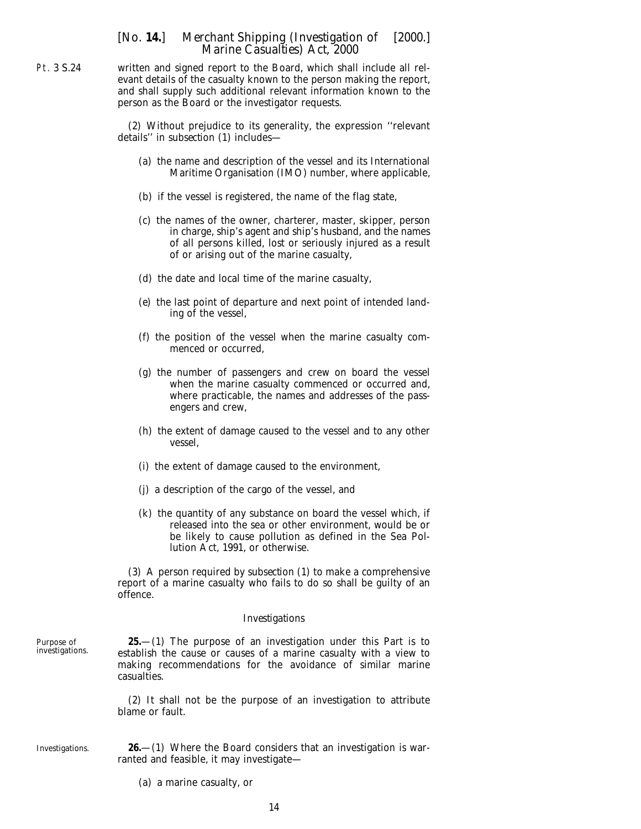written and signed report to the Board, which shall include all relevant details of the casualty known to the person making the report, and shall supply such additional relevant information known to the person as the Board or the investigator requests.

(2) Without prejudice to its generality, the expression ''relevant details'' in *subsection (1)* includes—

- (*a*) the name and description of the vessel and its International Maritime Organisation (IMO) number, where applicable,
- (*b*) if the vessel is registered, the name of the flag state,
- (*c*) the names of the owner, charterer, master, skipper, person in charge, ship's agent and ship's husband, and the names of all persons killed, lost or seriously injured as a result of or arising out of the marine casualty,
- (*d*) the date and local time of the marine casualty,
- (*e*) the last point of departure and next point of intended landing of the vessel,
- (*f*) the position of the vessel when the marine casualty commenced or occurred,
- (*g*) the number of passengers and crew on board the vessel when the marine casualty commenced or occurred and, where practicable, the names and addresses of the passengers and crew,
- (*h*) the extent of damage caused to the vessel and to any other vessel,
- (*i*) the extent of damage caused to the environment,
- (*j*) a description of the cargo of the vessel, and
- (*k*) the quantity of any substance on board the vessel which, if released into the sea or other environment, would be or be likely to cause pollution as defined in the Sea Pollution Act, 1991, or otherwise.

(3) A person required by *subsection (1)* to make a comprehensive report of a marine casualty who fails to do so shall be guilty of an offence.

#### *Investigations*

**25.**—(1) The purpose of an investigation under this Part is to establish the cause or causes of a marine casualty with a view to making recommendations for the avoidance of similar marine casualties.

(2) It shall not be the purpose of an investigation to attribute blame or fault.

Investigations.

Purpose of investigations.

> **26.**—(1) Where the Board considers that an investigation is warranted and feasible, it may investigate—

(*a*) a marine casualty, or

14

<span id="page-13-0"></span>Pt. 3 S.24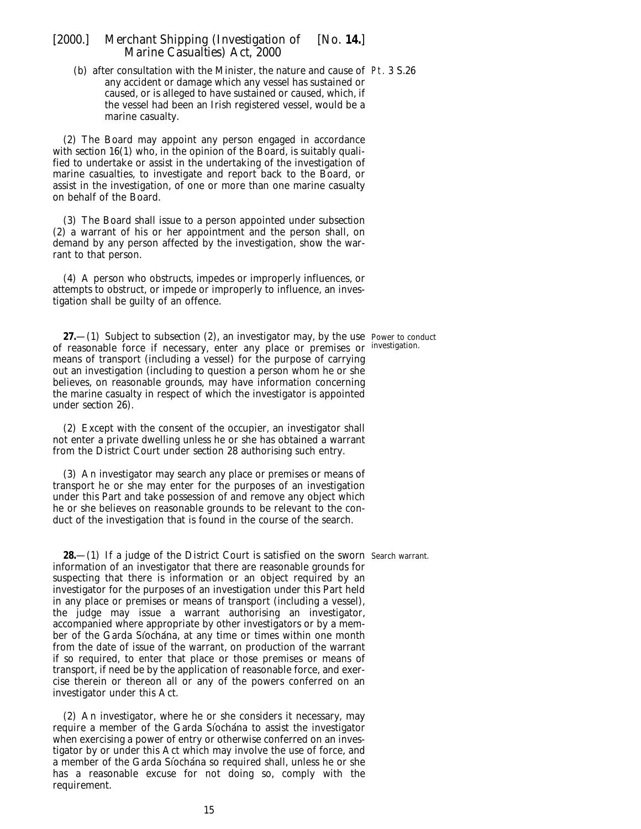<span id="page-14-0"></span>(*b*) after consultation with the Minister, the nature and cause of Pt. 3 S.26 any accident or damage which any vessel has sustained or caused, or is alleged to have sustained or caused, which, if the vessel had been an Irish registered vessel, would be a marine casualty.

(2) The Board may appoint any person engaged in accordance with *section 16(1)* who, in the opinion of the Board, is suitably qualified to undertake or assist in the undertaking of the investigation of marine casualties, to investigate and report back to the Board, or assist in the investigation, of one or more than one marine casualty on behalf of the Board.

(3) The Board shall issue to a person appointed under *subsection (2)* a warrant of his or her appointment and the person shall, on demand by any person affected by the investigation, show the warrant to that person.

(4) A person who obstructs, impedes or improperly influences, or attempts to obstruct, or impede or improperly to influence, an investigation shall be guilty of an offence.

**27.**—(1) Subject to *subsection (2)*, an investigator may, by the use Power to conduct of reasonable force if necessary, enter any place or premises or investigation. means of transport (including a vessel) for the purpose of carrying out an investigation (including to question a person whom he or she believes, on reasonable grounds, may have information concerning the marine casualty in respect of which the investigator is appointed under *section 26*).

(2) Except with the consent of the occupier, an investigator shall not enter a private dwelling unless he or she has obtained a warrant from the District Court under *section 28* authorising such entry.

(3) An investigator may search any place or premises or means of transport he or she may enter for the purposes of an investigation under this Part and take possession of and remove any object which he or she believes on reasonable grounds to be relevant to the conduct of the investigation that is found in the course of the search.

**28.**—(1) If a judge of the District Court is satisfied on the sworn Search warrant. information of an investigator that there are reasonable grounds for suspecting that there is information or an object required by an investigator for the purposes of an investigation under this Part held in any place or premises or means of transport (including a vessel), the judge may issue a warrant authorising an investigator, accompanied where appropriate by other investigators or by a member of the Garda Síochána, at any time or times within one month from the date of issue of the warrant, on production of the warrant if so required, to enter that place or those premises or means of transport, if need be by the application of reasonable force, and exercise therein or thereon all or any of the powers conferred on an investigator under this Act.

(2) An investigator, where he or she considers it necessary, may require a member of the Garda Síochána to assist the investigator when exercising a power of entry or otherwise conferred on an investigator by or under this Act which may involve the use of force, and a member of the Garda Síochána so required shall, unless he or she has a reasonable excuse for not doing so, comply with the requirement.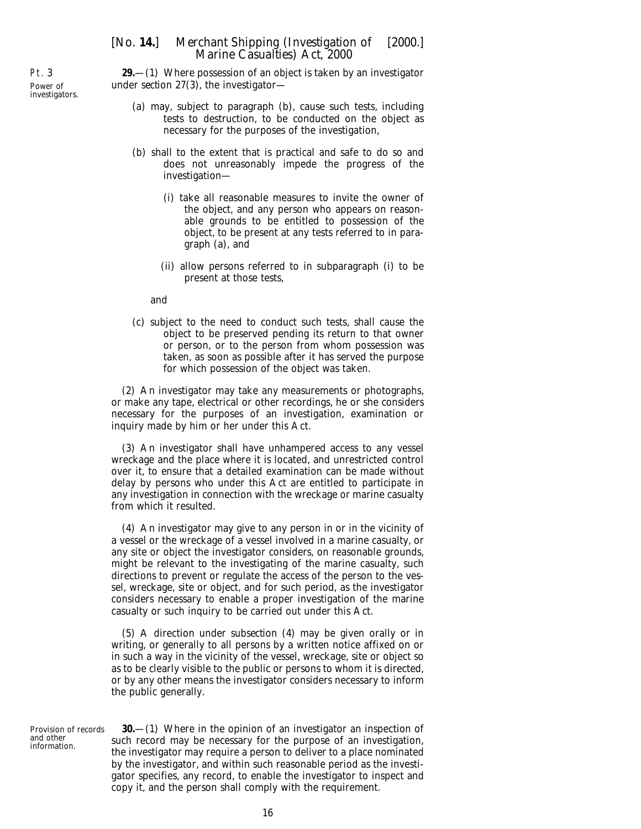**29.**—(1) Where possession of an object is taken by an investigator under *section 27(3)*, the investigator—

- (*a*) may, subject to *paragraph (b)*, cause such tests, including tests to destruction, to be conducted on the object as necessary for the purposes of the investigation,
- (*b*) shall to the extent that is practical and safe to do so and does not unreasonably impede the progress of the investigation—
	- (i) take all reasonable measures to invite the owner of the object, and any person who appears on reasonable grounds to be entitled to possession of the object, to be present at any tests referred to in *paragraph (a)*, and
	- (ii) allow persons referred to in *subparagraph (i)* to be present at those tests,

and

(*c*) subject to the need to conduct such tests, shall cause the object to be preserved pending its return to that owner or person, or to the person from whom possession was taken, as soon as possible after it has served the purpose for which possession of the object was taken.

(2) An investigator may take any measurements or photographs, or make any tape, electrical or other recordings, he or she considers necessary for the purposes of an investigation, examination or inquiry made by him or her under this Act.

(3) An investigator shall have unhampered access to any vessel wreckage and the place where it is located, and unrestricted control over it, to ensure that a detailed examination can be made without delay by persons who under this Act are entitled to participate in any investigation in connection with the wreckage or marine casualty from which it resulted.

(4) An investigator may give to any person in or in the vicinity of a vessel or the wreckage of a vessel involved in a marine casualty, or any site or object the investigator considers, on reasonable grounds, might be relevant to the investigating of the marine casualty, such directions to prevent or regulate the access of the person to the vessel, wreckage, site or object, and for such period, as the investigator considers necessary to enable a proper investigation of the marine casualty or such inquiry to be carried out under this Act.

(5) A direction under *subsection (4)* may be given orally or in writing, or generally to all persons by a written notice affixed on or in such a way in the vicinity of the vessel, wreckage, site or object so as to be clearly visible to the public or persons to whom it is directed, or by any other means the investigator considers necessary to inform the public generally.

Provision of records and other information.

**30.**—(1) Where in the opinion of an investigator an inspection of such record may be necessary for the purpose of an investigation, the investigator may require a person to deliver to a place nominated by the investigator, and within such reasonable period as the investigator specifies, any record, to enable the investigator to inspect and copy it, and the person shall comply with the requirement.

<span id="page-15-0"></span>Pt. 3 Power of investigators.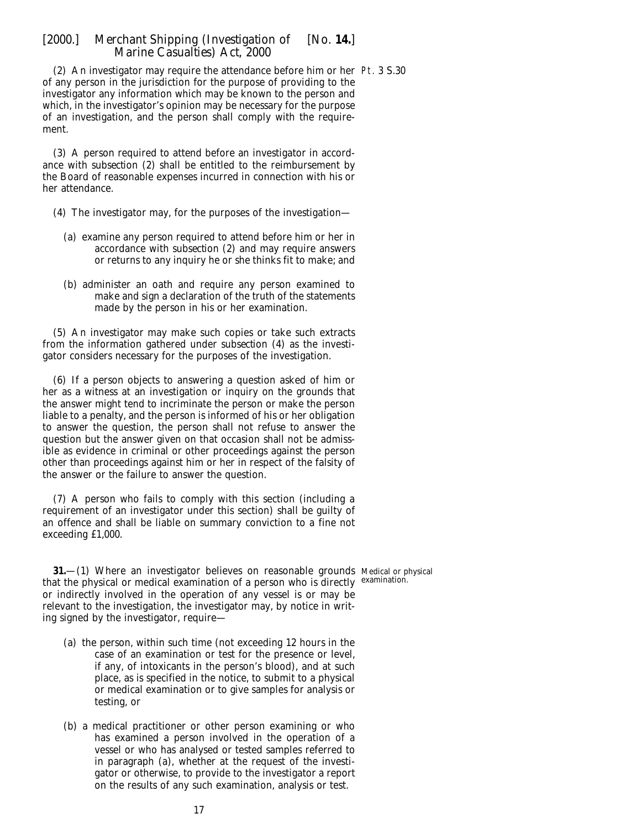<span id="page-16-0"></span>(2) An investigator may require the attendance before him or her Pt. 3 S.30 of any person in the jurisdiction for the purpose of providing to the investigator any information which may be known to the person and which, in the investigator's opinion may be necessary for the purpose of an investigation, and the person shall comply with the requirement.

(3) A person required to attend before an investigator in accordance with *subsection (2)* shall be entitled to the reimbursement by the Board of reasonable expenses incurred in connection with his or her attendance.

- (4) The investigator may, for the purposes of the investigation—
	- (*a*) examine any person required to attend before him or her in accordance with *subsection (2)* and may require answers or returns to any inquiry he or she thinks fit to make; and
	- (*b*) administer an oath and require any person examined to make and sign a declaration of the truth of the statements made by the person in his or her examination.

(5) An investigator may make such copies or take such extracts from the information gathered under *subsection (4)* as the investigator considers necessary for the purposes of the investigation.

(6) If a person objects to answering a question asked of him or her as a witness at an investigation or inquiry on the grounds that the answer might tend to incriminate the person or make the person liable to a penalty, and the person is informed of his or her obligation to answer the question, the person shall not refuse to answer the question but the answer given on that occasion shall not be admissible as evidence in criminal or other proceedings against the person other than proceedings against him or her in respect of the falsity of the answer or the failure to answer the question.

(7) A person who fails to comply with this section (including a requirement of an investigator under this section) shall be guilty of an offence and shall be liable on summary conviction to a fine not exceeding £1,000.

**31.**—(1) Where an investigator believes on reasonable grounds Medicalor physical that the physical or medical examination of a person who is directly examination. or indirectly involved in the operation of any vessel is or may be relevant to the investigation, the investigator may, by notice in writing signed by the investigator, require—

- (*a*) the person, within such time (not exceeding 12 hours in the case of an examination or test for the presence or level, if any, of intoxicants in the person's blood), and at such place, as is specified in the notice, to submit to a physical or medical examination or to give samples for analysis or testing, or
- (*b*) a medical practitioner or other person examining or who has examined a person involved in the operation of a vessel or who has analysed or tested samples referred to in *paragraph (a)*, whether at the request of the investigator or otherwise, to provide to the investigator a report on the results of any such examination, analysis or test.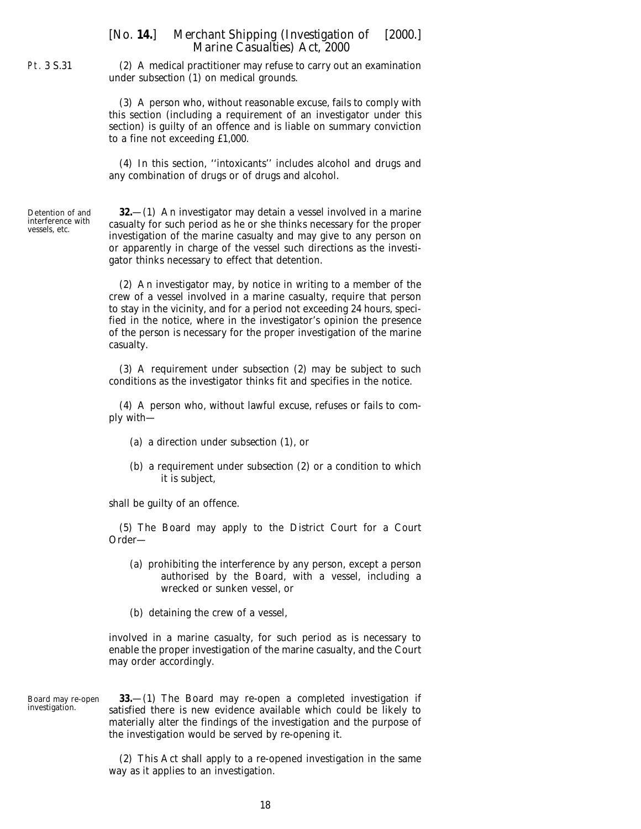<span id="page-17-0"></span>Pt. 3 S.31

(2) A medical practitioner may refuse to carry out an examination under *subsection (1)* on medical grounds.

(3) A person who, without reasonable excuse, fails to comply with this section (including a requirement of an investigator under this section) is guilty of an offence and is liable on summary conviction to a fine not exceeding £1,000.

(4) In this section, ''intoxicants'' includes alcohol and drugs and any combination of drugs or of drugs and alcohol.

Detention of and interference with vessels, etc.

**32.**—(1) An investigator may detain a vessel involved in a marine casualty for such period as he or she thinks necessary for the proper investigation of the marine casualty and may give to any person on or apparently in charge of the vessel such directions as the investigator thinks necessary to effect that detention.

(2) An investigator may, by notice in writing to a member of the crew of a vessel involved in a marine casualty, require that person to stay in the vicinity, and for a period not exceeding 24 hours, specified in the notice, where in the investigator's opinion the presence of the person is necessary for the proper investigation of the marine casualty.

(3) A requirement under *subsection (2)* may be subject to such conditions as the investigator thinks fit and specifies in the notice.

(4) A person who, without lawful excuse, refuses or fails to comply with—

- (*a*) a direction under *subsection (1)*, or
- (*b*) a requirement under *subsection (2)* or a condition to which it is subject,

shall be guilty of an offence.

(5) The Board may apply to the District Court for a Court Order—

- (*a*) prohibiting the interference by any person, except a person authorised by the Board, with a vessel, including a wrecked or sunken vessel, or
- (*b*) detaining the crew of a vessel,

involved in a marine casualty, for such period as is necessary to enable the proper investigation of the marine casualty, and the Court may order accordingly.

Board may re-open investigation. **33.**—(1) The Board may re-open a completed investigation if satisfied there is new evidence available which could be likely to materially alter the findings of the investigation and the purpose of the investigation would be served by re-opening it.

> (2) This Act shall apply to a re-opened investigation in the same way as it applies to an investigation.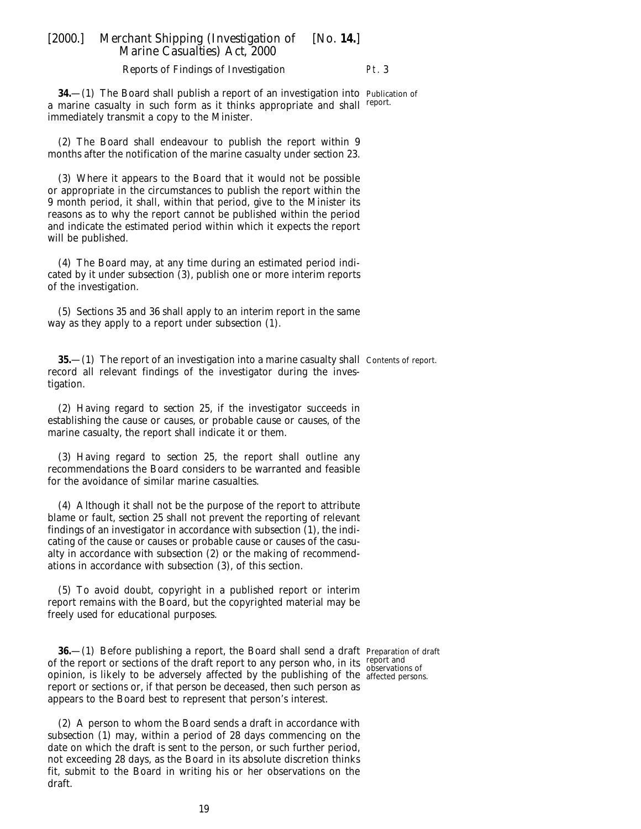#### *Reports of Findings of Investigation*

Pt. 3

<span id="page-18-0"></span>**34.**—(1) The Board shall publish a report of an investigation into Publication of a marine casualty in such form as it thinks appropriate and shall immediately transmit a copy to the Minister. report.

(2) The Board shall endeavour to publish the report within 9 months after the notification of the marine casualty under *section 23*.

(3) Where it appears to the Board that it would not be possible or appropriate in the circumstances to publish the report within the 9 month period, it shall, within that period, give to the Minister its reasons as to why the report cannot be published within the period and indicate the estimated period within which it expects the report will be published.

(4) The Board may, at any time during an estimated period indicated by it under *subsection (3)*, publish one or more interim reports of the investigation.

(5) *Sections 35* and *36* shall apply to an interim report in the same way as they apply to a report under *subsection (1)*.

**35.—(**1) The report of an investigation into a marine casualty shall Contents of report. record all relevant findings of the investigator during the investigation.

(2) Having regard to *section 25*, if the investigator succeeds in establishing the cause or causes, or probable cause or causes, of the marine casualty, the report shall indicate it or them.

(3) Having regard to *section 25*, the report shall outline any recommendations the Board considers to be warranted and feasible for the avoidance of similar marine casualties.

(4) Although it shall not be the purpose of the report to attribute blame or fault, *section 25* shall not prevent the reporting of relevant findings of an investigator in accordance with *subsection (1)*, the indicating of the cause or causes or probable cause or causes of the casualty in accordance with *subsection (2)* or the making of recommendations in accordance with *subsection (3),* of this section.

(5) To avoid doubt, copyright in a published report or interim report remains with the Board, but the copyrighted material may be freely used for educational purposes.

**36.**—(1) Before publishing a report, the Board shall send a draft Preparation of draft of the report or sections of the draft report to any person who, in its report and<br>intervations of opinion, is likely to be adversely affected by the publishing of the affected persons.report or sections or, if that person be deceased, then such person as appears to the Board best to represent that person's interest.

(2) A person to whom the Board sends a draft in accordance with *subsection (1)* may, within a period of 28 days commencing on the date on which the draft is sent to the person, or such further period, not exceeding 28 days, as the Board in its absolute discretion thinks fit, submit to the Board in writing his or her observations on the draft.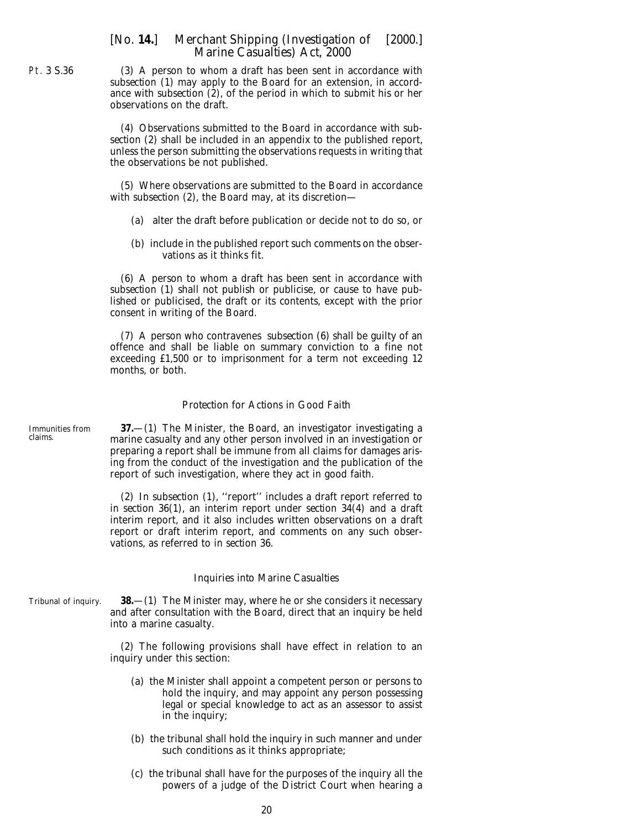(3) A person to whom a draft has been sent in accordance with *subsection (1)* may apply to the Board for an extension, in accordance with *subsection (2)*, of the period in which to submit his or her observations on the draft.

(4) Observations submitted to the Board in accordance with *subsection (2)* shall be included in an appendix to the published report, unless the person submitting the observations requests in writing that the observations be not published.

(5) Where observations are submitted to the Board in accordance with *subsection (2)*, the Board may, at its discretion—

- (*a*) alter the draft before publication or decide not to do so, or
- (*b*) include in the published report such comments on the observations as it thinks fit.

(6) A person to whom a draft has been sent in accordance with *subsection (1)* shall not publish or publicise, or cause to have published or publicised, the draft or its contents, except with the prior consent in writing of the Board.

(7) A person who contravenes *subsection (6)* shall be guilty of an offence and shall be liable on summary conviction to a fine not exceeding £1,500 or to imprisonment for a term not exceeding 12 months, or both.

#### *Protection for Actions in Good Faith*

**37.**—(1) The Minister, the Board, an investigator investigating a marine casualty and any other person involved in an investigation or preparing a report shall be immune from all claims for damages arising from the conduct of the investigation and the publication of the report of such investigation, where they act in good faith.

(2) In *subsection (1)*, ''report'' includes a draft report referred to in *section 36(1)*, an interim report under *section 34(4)* and a draft interim report, and it also includes written observations on a draft report or draft interim report, and comments on any such observations, as referred to in *section 36*.

#### *Inquiries into Marine Casualties*

**38.**—(1) The Minister may, where he or she considers it necessary and after consultation with the Board, direct that an inquiry be held into a marine casualty.

(2) The following provisions shall have effect in relation to an inquiry under this section:

- (*a*) the Minister shall appoint a competent person or persons to hold the inquiry, and may appoint any person possessing legal or special knowledge to act as an assessor to assist in the inquiry;
- (*b*) the tribunal shall hold the inquiry in such manner and under such conditions as it thinks appropriate;
- (*c*) the tribunal shall have for the purposes of the inquiry all the powers of a judge of the District Court when hearing a

Immunities from claims.

#### Tribunal of inquiry.

<span id="page-19-0"></span>Pt. 3 S.36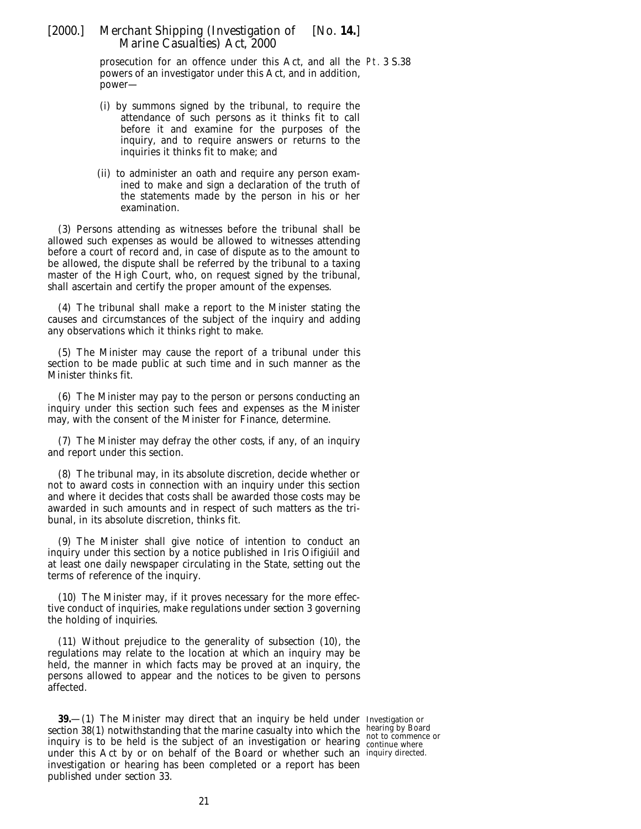<span id="page-20-0"></span>prosecution for an offence under this Act, and all the Pt. 3 S.38 powers of an investigator under this Act, and in addition, power—

- (i) by summons signed by the tribunal, to require the attendance of such persons as it thinks fit to call before it and examine for the purposes of the inquiry, and to require answers or returns to the inquiries it thinks fit to make; and
- (ii) to administer an oath and require any person examined to make and sign a declaration of the truth of the statements made by the person in his or her examination.

(3) Persons attending as witnesses before the tribunal shall be allowed such expenses as would be allowed to witnesses attending before a court of record and, in case of dispute as to the amount to be allowed, the dispute shall be referred by the tribunal to a taxing master of the High Court, who, on request signed by the tribunal, shall ascertain and certify the proper amount of the expenses.

(4) The tribunal shall make a report to the Minister stating the causes and circumstances of the subject of the inquiry and adding any observations which it thinks right to make.

(5) The Minister may cause the report of a tribunal under this section to be made public at such time and in such manner as the Minister thinks fit.

(6) The Minister may pay to the person or persons conducting an inquiry under this section such fees and expenses as the Minister may, with the consent of the Minister for Finance, determine.

(7) The Minister may defray the other costs, if any, of an inquiry and report under this section.

(8) The tribunal may, in its absolute discretion, decide whether or not to award costs in connection with an inquiry under this section and where it decides that costs shall be awarded those costs may be awarded in such amounts and in respect of such matters as the tribunal, in its absolute discretion, thinks fit.

(9) The Minister shall give notice of intention to conduct an inquiry under this section by a notice published in *Iris Oifigiúil* and at least one daily newspaper circulating in the State, setting out the terms of reference of the inquiry.

(10) The Minister may, if it proves necessary for the more effective conduct of inquiries, make regulations under *section 3* governing the holding of inquiries.

(11) Without prejudice to the generality of *subsection (10)*, the regulations may relate to the location at which an inquiry may be held, the manner in which facts may be proved at an inquiry, the persons allowed to appear and the notices to be given to persons affected.

**39.**—(1) The Minister may direct that an inquiry be held under Investigation or section 38(1) notwithstanding that the marine casualty into which the hearing by Board inquiry is to be held is the subject of an investigation or hearing continue where under this Act by or on behalf of the Board or whether such an inquiry directed.investigation or hearing has been completed or a report has been published under *section 33*.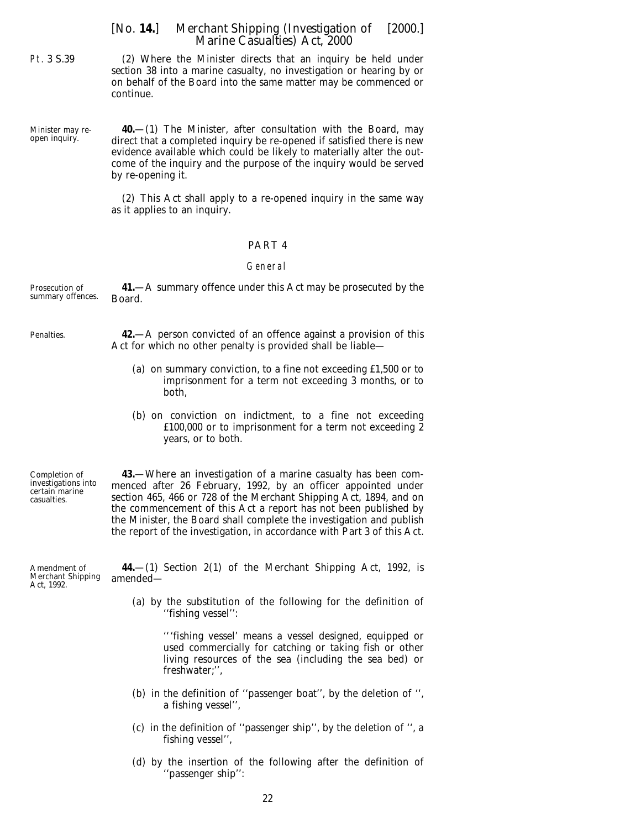<span id="page-21-0"></span>Pt. 3 S.39

(2) Where the Minister directs that an inquiry be held under *section 38* into a marine casualty, no investigation or hearing by or on behalf of the Board into the same matter may be commenced or continue.

Minister may reopen inquiry.

**40.**—(1) The Minister, after consultation with the Board, may direct that a completed inquiry be re-opened if satisfied there is new evidence available which could be likely to materially alter the outcome of the inquiry and the purpose of the inquiry would be served by re-opening it.

(2) This Act shall apply to a re-opened inquiry in the same way as it applies to an inquiry.

#### PART 4

#### General

| Prosecution of    | 41.—A summary offence under this Act may be prosecuted by the                                                                           |
|-------------------|-----------------------------------------------------------------------------------------------------------------------------------------|
| summary offences. | Board.                                                                                                                                  |
| Penalties.        | <b>42.</b> —A person convicted of an offence against a provision of this<br>Act for which no other penalty is provided shall be liable— |

- (*a*) on summary conviction, to a fine not exceeding £1,500 or to imprisonment for a term not exceeding 3 months, or to both,
- (*b*) on conviction on indictment, to a fine not exceeding £100,000 or to imprisonment for a term not exceeding 2 years, or to both.

Completion of investigations into certain marine casualties.

**43.**—Where an investigation of a marine casualty has been commenced after 26 February, 1992, by an officer appointed under section 465, 466 or 728 of the Merchant Shipping Act, 1894, and on the commencement of this Act a report has not been published by the Minister, the Board shall complete the investigation and publish the report of the investigation, in accordance with *Part 3* of this Act.

**44.**—(1) Section 2(1) of the Merchant Shipping Act, 1992, is amended—

(*a*) by the substitution of the following for the definition of ''fishing vessel'':

'''fishing vessel' means a vessel designed, equipped or used commercially for catching or taking fish or other living resources of the sea (including the sea bed) or freshwater;'',

- (*b*) in the definition of ''passenger boat'', by the deletion of '', a fishing vessel'',
- (*c*) in the definition of ''passenger ship'', by the deletion of '', a fishing vessel'',
- (*d*) by the insertion of the following after the definition of ''passenger ship'':

22

Amendment of Merchant Shipping Act, 1992.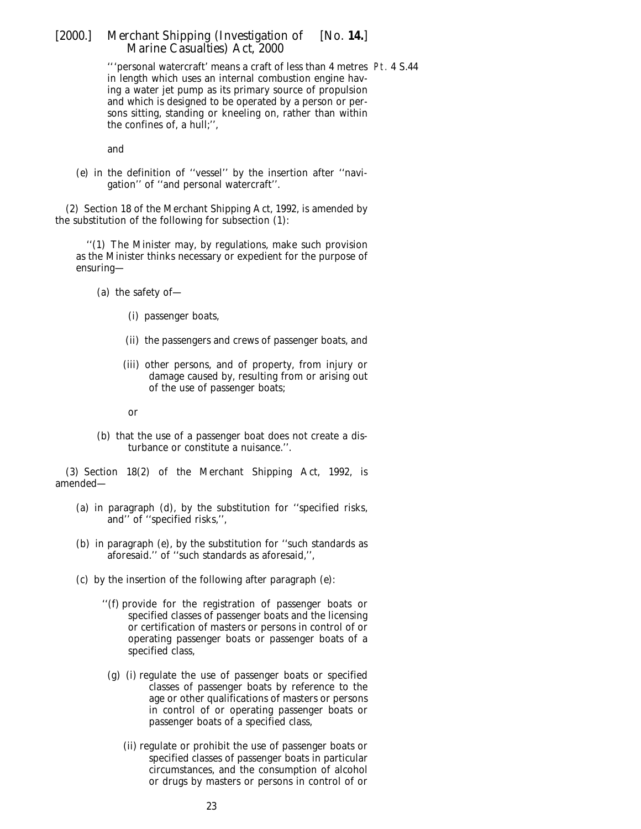'''personal watercraft' means a craft of less than 4 metres Pt. 4 S.44in length which uses an internal combustion engine having a water jet pump as its primary source of propulsion and which is designed to be operated by a person or persons sitting, standing or kneeling on, rather than within the confines of, a hull;'',

and

(*e*) in the definition of ''vessel'' by the insertion after ''navigation'' of ''and personal watercraft''.

(2) Section 18 of the Merchant Shipping Act, 1992, is amended by the substitution of the following for subsection (1):

''(1) The Minister may, by regulations, make such provision as the Minister thinks necessary or expedient for the purpose of ensuring—

(*a*) the safety of—

- (i) passenger boats,
- (ii) the passengers and crews of passenger boats, and
- (iii) other persons, and of property, from injury or damage caused by, resulting from or arising out of the use of passenger boats;
- or
- (*b*) that the use of a passenger boat does not create a disturbance or constitute a nuisance.''.

(3) Section 18(2) of the Merchant Shipping Act, 1992, is amended—

- (*a*) in paragraph (*d*), by the substitution for ''specified risks, and'' of ''specified risks,'',
- (*b*) in paragraph (*e*), by the substitution for ''such standards as aforesaid.'' of ''such standards as aforesaid,'',
- (*c*) by the insertion of the following after paragraph (*e*):
	- ''(*f*) provide for the registration of passenger boats or specified classes of passenger boats and the licensing or certification of masters or persons in control of or operating passenger boats or passenger boats of a specified class,
		- (*g*) (i) regulate the use of passenger boats or specified classes of passenger boats by reference to the age or other qualifications of masters or persons in control of or operating passenger boats or passenger boats of a specified class,
			- (ii) regulate or prohibit the use of passenger boats or specified classes of passenger boats in particular circumstances, and the consumption of alcohol or drugs by masters or persons in control of or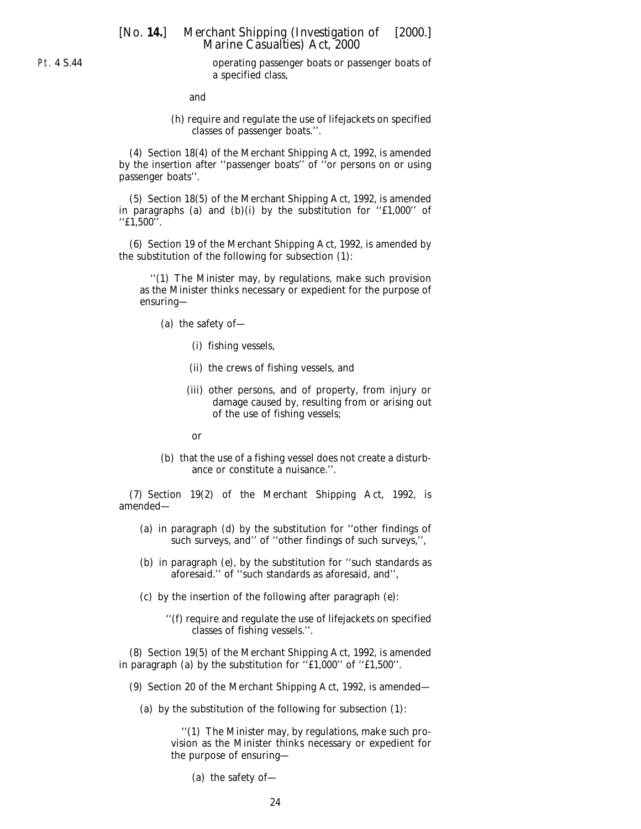operating passenger boats or passenger boats of a specified class,

and

(*h*) require and regulate the use of lifejackets on specified classes of passenger boats.''.

(4) Section 18(4) of the Merchant Shipping Act, 1992, is amended by the insertion after ''passenger boats'' of ''or persons on or using passenger boats''.

(5) Section 18(5) of the Merchant Shipping Act, 1992, is amended in paragraphs (*a*) and (*b*)(i) by the substitution for ''£1,000'' of ''£1,500''.

(6) Section 19 of the Merchant Shipping Act, 1992, is amended by the substitution of the following for subsection (1):

''(1) The Minister may, by regulations, make such provision as the Minister thinks necessary or expedient for the purpose of ensuring—

- (*a*) the safety of—
	- (i) fishing vessels,
	- (ii) the crews of fishing vessels, and
	- (iii) other persons, and of property, from injury or damage caused by, resulting from or arising out of the use of fishing vessels;
	- or
- (*b*) that the use of a fishing vessel does not create a disturbance or constitute a nuisance.''.

(7) Section 19(2) of the Merchant Shipping Act, 1992, is amended—

- (*a*) in paragraph (*d*) by the substitution for ''other findings of such surveys, and'' of ''other findings of such surveys,'',
- (*b*) in paragraph (*e*), by the substitution for ''such standards as aforesaid.'' of ''such standards as aforesaid, and'',
- (*c*) by the insertion of the following after paragraph (*e*):
	- ''(*f*) require and regulate the use of lifejackets on specified classes of fishing vessels.''.

(8) Section 19(5) of the Merchant Shipping Act, 1992, is amended in paragraph (*a*) by the substitution for ''£1,000'' of ''£1,500''.

- (9) Section 20 of the Merchant Shipping Act, 1992, is amended—
	- (*a*) by the substitution of the following for subsection (1):

''(1) The Minister may, by regulations, make such provision as the Minister thinks necessary or expedient for the purpose of ensuring—

(*a*) the safety of—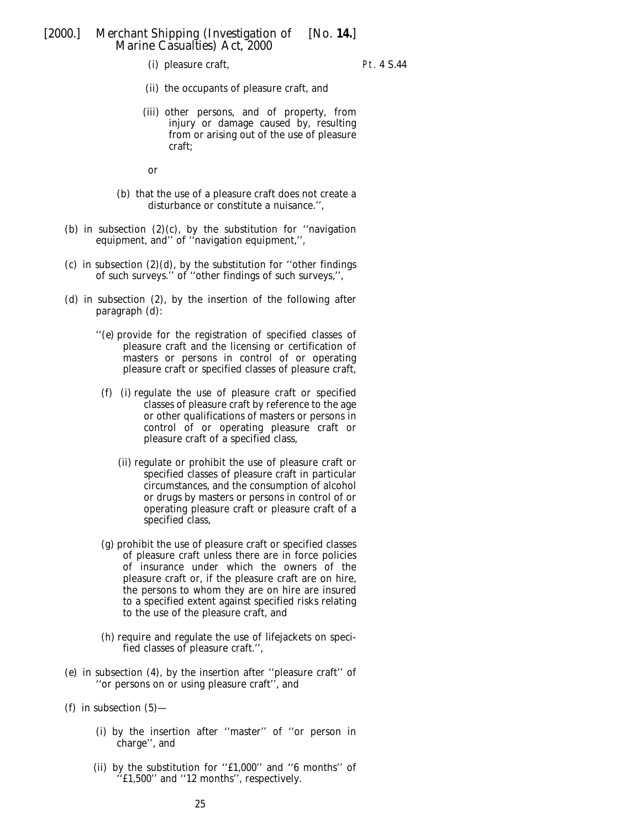(i) pleasure craft,

Pt. 4 S.44

- (ii) the occupants of pleasure craft, and
- (iii) other persons, and of property, from injury or damage caused by, resulting from or arising out of the use of pleasure craft;

or

- (*b*) that the use of a pleasure craft does not create a disturbance or constitute a nuisance.'',
- (*b*) in subsection  $(2)(c)$ , by the substitution for "navigation equipment, and'' of ''navigation equipment,'',
- (*c*) in subsection  $(2)(d)$ , by the substitution for "other findings of such surveys.'' of ''other findings of such surveys,'',
- (*d*) in subsection (2), by the insertion of the following after paragraph (*d*):
	- ''(*e*) provide for the registration of specified classes of pleasure craft and the licensing or certification of masters or persons in control of or operating pleasure craft or specified classes of pleasure craft,
		- (*f*) (i) regulate the use of pleasure craft or specified classes of pleasure craft by reference to the age or other qualifications of masters or persons in control of or operating pleasure craft or pleasure craft of a specified class,
			- (ii) regulate or prohibit the use of pleasure craft or specified classes of pleasure craft in particular circumstances, and the consumption of alcohol or drugs by masters or persons in control of or operating pleasure craft or pleasure craft of a specified class,
		- (*g*) prohibit the use of pleasure craft or specified classes of pleasure craft unless there are in force policies of insurance under which the owners of the pleasure craft or, if the pleasure craft are on hire, the persons to whom they are on hire are insured to a specified extent against specified risks relating to the use of the pleasure craft, and
	- (*h*) require and regulate the use of lifejackets on specified classes of pleasure craft.'',
- (*e*) in subsection (4), by the insertion after ''pleasure craft'' of ''or persons on or using pleasure craft'', and
- ( $f$ ) in subsection (5)
	- (i) by the insertion after ''master'' of ''or person in charge'', and
	- (ii) by the substitution for ''£1,000'' and ''6 months'' of ''£1,500'' and ''12 months'', respectively.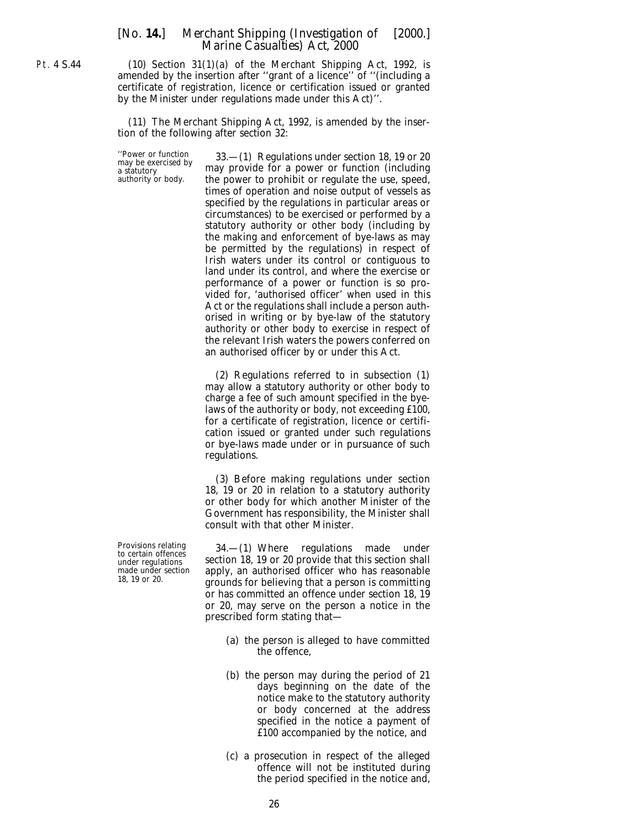Pt. 4 S.44

(10) Section 31(1)(*a*) of the Merchant Shipping Act, 1992, is amended by the insertion after ''grant of a licence'' of ''(including a certificate of registration, licence or certification issued or granted by the Minister under regulations made under this Act)''.

(11) The Merchant Shipping Act, 1992, is amended by the insertion of the following after section 32:

''Power or function 33.—(1) Regulations under section 18, 19 or 20 may be exercised by a statutory may provide for a power or function (including authority or body. the power to prohibit or regulate the use, speed, the power to prohibit or regulate the use, speed, times of operation and noise output of vessels as specified by the regulations in particular areas or circumstances) to be exercised or performed by a statutory authority or other body (including by the making and enforcement of bye-laws as may be permitted by the regulations) in respect of Irish waters under its control or contiguous to land under its control, and where the exercise or performance of a power or function is so provided for, 'authorised officer' when used in this Act or the regulations shall include a person authorised in writing or by bye-law of the statutory authority or other body to exercise in respect of the relevant Irish waters the powers conferred on an authorised officer by or under this Act.

> (2) Regulations referred to in subsection (1) may allow a statutory authority or other body to charge a fee of such amount specified in the byelaws of the authority or body, not exceeding £100, for a certificate of registration, licence or certification issued or granted under such regulations or bye-laws made under or in pursuance of such regulations.

> (3) Before making regulations under section 18, 19 or 20 in relation to a statutory authority or other body for which another Minister of the Government has responsibility, the Minister shall consult with that other Minister.

Provisions relating 34.—(1) Where regulations made under to certain offences section 18, 19 or 20 provide that this section shall we certain onesties<br>under regulations section 18, 19 or 20 provide that this section shall<br>made under section apply, an authorised officer who has reasonable 18, 19 or 20.  $\frac{1}{2}$  grounds for believing that a person is committing or has committed an offence under section 18, 19 or 20, may serve on the person a notice in the prescribed form stating that—

- (*a*) the person is alleged to have committed the offence,
- (*b*) the person may during the period of 21 days beginning on the date of the notice make to the statutory authority or body concerned at the address specified in the notice a payment of £100 accompanied by the notice, and
- (*c*) a prosecution in respect of the alleged offence will not be instituted during the period specified in the notice and,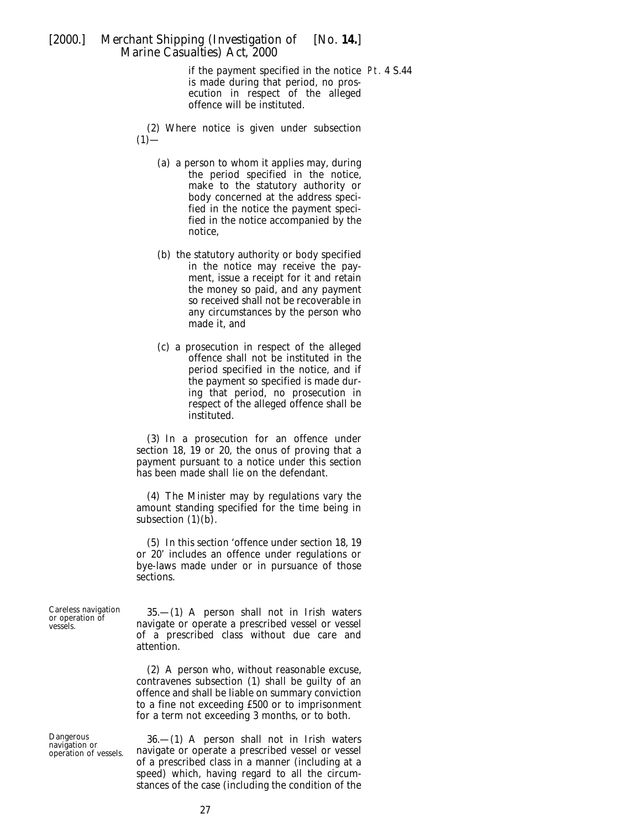if the payment specified in the notice Pt. 4 S.44is made during that period, no prosecution in respect of the alleged offence will be instituted.

(2) Where notice is given under subsection  $(1)$ —

- (*a*) a person to whom it applies may, during the period specified in the notice, make to the statutory authority or body concerned at the address specified in the notice the payment specified in the notice accompanied by the notice,
- (*b*) the statutory authority or body specified in the notice may receive the payment, issue a receipt for it and retain the money so paid, and any payment so received shall not be recoverable in any circumstances by the person who made it, and
- (*c*) a prosecution in respect of the alleged offence shall not be instituted in the period specified in the notice, and if the payment so specified is made during that period, no prosecution in respect of the alleged offence shall be instituted.

(3) In a prosecution for an offence under section 18, 19 or 20, the onus of proving that a payment pursuant to a notice under this section has been made shall lie on the defendant.

(4) The Minister may by regulations vary the amount standing specified for the time being in subsection (1)(*b*).

(5) In this section 'offence under section 18, 19 or 20' includes an offence under regulations or bye-laws made under or in pursuance of those sections.

Careless navigation 35.—(1) A person shall not in Irish waters or operation of navigate or operate a prescribed vessel or vessel of a prescribed class without due care and attention.

> (2) A person who, without reasonable excuse, contravenes subsection (1) shall be guilty of an offence and shall be liable on summary conviction to a fine not exceeding £500 or to imprisonment for a term not exceeding 3 months, or to both.

Dangerous 36.—(1) A person shall not in Irish waters navigation or operation of vessels. navigate or operate a prescribed vessel or vessel navigate or operate a prescribed vessel or vessel of a prescribed class in a manner (including at a speed) which, having regard to all the circumstances of the case (including the condition of the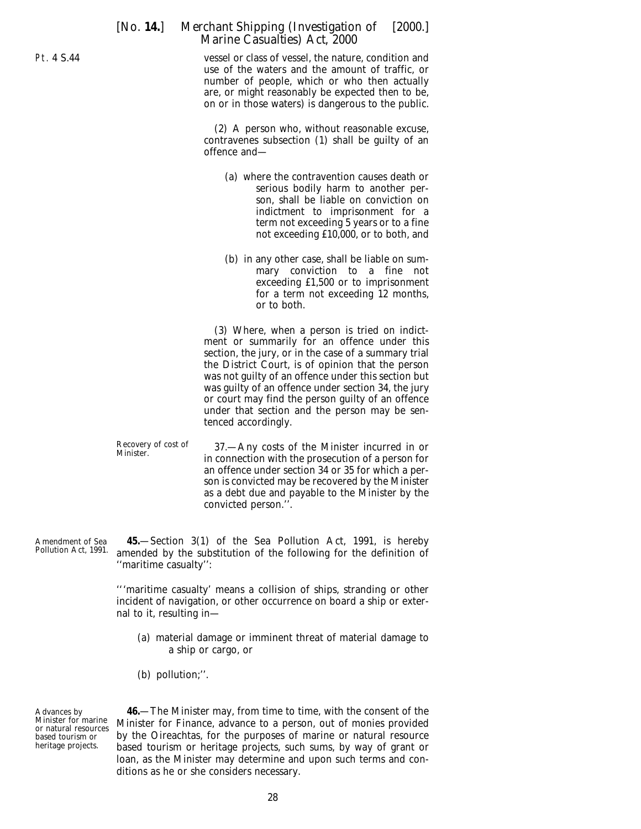vessel or class of vessel, the nature, condition and use of the waters and the amount of traffic, or number of people, which or who then actually are, or might reasonably be expected then to be, on or in those waters) is dangerous to the public.

(2) A person who, without reasonable excuse, contravenes subsection (1) shall be guilty of an offence and—

- (*a*) where the contravention causes death or serious bodily harm to another person, shall be liable on conviction on indictment to imprisonment for a term not exceeding 5 years or to a fine not exceeding £10,000, or to both, and
- (*b*) in any other case, shall be liable on summary conviction to a fine not exceeding £1,500 or to imprisonment for a term not exceeding 12 months, or to both.

(3) Where, when a person is tried on indictment or summarily for an offence under this section, the jury, or in the case of a summary trial the District Court, is of opinion that the person was not guilty of an offence under this section but was guilty of an offence under section 34, the jury or court may find the person guilty of an offence under that section and the person may be sentenced accordingly.

Recovery of cost of 37.—Any costs of the Minister incurred in or<br>Minister. in connection with the prosecution of a person for an offence under section 34 or 35 for which a person is convicted may be recovered by the Minister as a debt due and payable to the Minister by the convicted person.''.

Amendment of Sea Pollution Act, 1991. **45.**—Section 3(1) of the Sea Pollution Act, 1991, is hereby amended by the substitution of the following for the definition of ''maritime casualty'':

> '''maritime casualty' means a collision of ships, stranding or other incident of navigation, or other occurrence on board a ship or external to it, resulting in—

- (*a*) material damage or imminent threat of material damage to a ship or cargo, or
- (*b*) pollution;''.

Advances by Minister for marine or natural resources based tourism or heritage projects.

**46.**—The Minister may, from time to time, with the consent of the Minister for Finance, advance to a person, out of monies provided by the Oireachtas, for the purposes of marine or natural resource based tourism or heritage projects, such sums, by way of grant or loan, as the Minister may determine and upon such terms and conditions as he or she considers necessary.

28

<span id="page-27-0"></span>Pt. 4 S.44